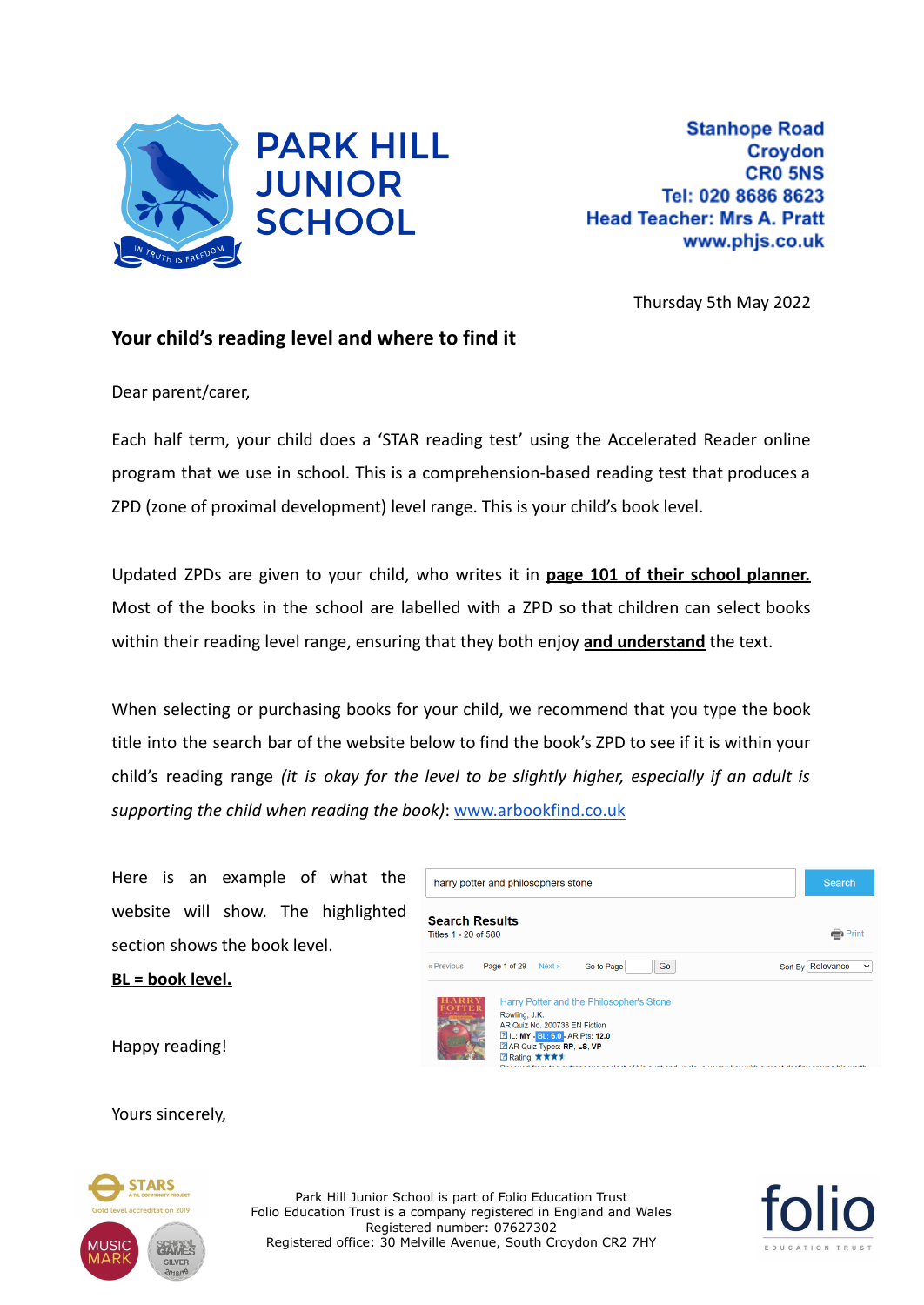

Thursday 5th May 2022

## **Your child's reading level and where to find it**

Dear parent/carer,

Each half term, your child does a 'STAR reading test' using the Accelerated Reader online program that we use in school. This is a comprehension-based reading test that produces a ZPD (zone of proximal development) level range. This is your child's book level.

Updated ZPDs are given to your child, who writes it in **page 101 of their school planner.** Most of the books in the school are labelled with a ZPD so that children can select books within their reading level range, ensuring that they both enjoy **and understand** the text.

When selecting or purchasing books for your child, we recommend that you type the book title into the search bar of the website below to find the book's ZPD to see if it is within your child's reading range *(it is okay for the level to be slightly higher, especially if an adult is supporting the child when reading the book)*: [www.arbookfind.co.uk](https://www.arbookfind.co.uk/)

Here is an example of what the website will show. The highlighted section shows the book level.

**BL = book level.**



Happy reading!

Yours sincerely,



Park Hill Junior School is part of Folio Education Trust Folio Education Trust is a company registered in England and Wales Registered number: 07627302 Registered office: 30 Melville Avenue, South Croydon CR2 7HY